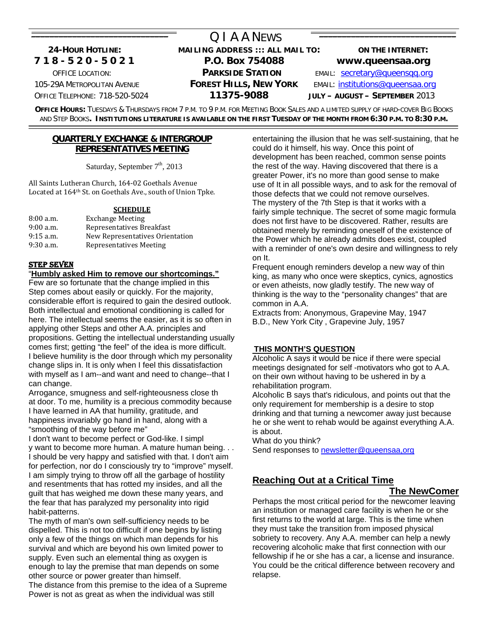## O LA A NEWS  **24-HOUR HOTLINE: MAILING ADDRESS ::: ALL MAIL TO: ON THE INTERNET: 7 1 8 - 5 2 0 - 5 0 2 1 P.O. Box 754088 www.queensaa.org** OFFICE LOCATION: **PARKSIDE STATION** EMAIL: [secretary@queensqq.org](mailto:secretary@queensqq.org) 105-29A METROPOLITAN AVENUE **FOREST HILLS, NEW YORK** EMAIL: [institutions@queensaa.org](mailto:institutions@queensaa.org) OFFICE TELEPHONE: 718-520-5024 **11375-9088 JULY – AUGUST – SEPTEMBER** 2013

**OFFICE HOURS:** TUESDAYS & THURSDAYS FROM 7 P.M. TO 9 P.M. FOR MEETING BOOK SALES AND A LIMITED SUPPLY OF HARD-COVER BIG BOOKS AND STEP BOOKS**. INSTITUTIONS LITERATURE IS AVAILABLE ON THE FIRST TUESDAY OF THE MONTH FROM 6:30 P.M. TO 8:30 P.M.** \_\_\_\_\_\_\_\_\_\_\_\_\_\_\_\_\_\_\_\_\_\_\_\_\_\_\_\_\_\_\_\_\_\_\_\_\_\_\_\_\_\_\_\_\_\_\_\_\_\_\_\_\_\_\_\_\_\_\_\_\_\_\_\_\_\_\_\_\_\_\_\_\_\_\_\_\_\_\_\_\_\_\_\_\_\_\_\_\_\_\_\_\_\_\_\_\_\_\_\_\_\_\_\_\_\_\_\_\_\_\_\_\_\_\_\_\_\_\_\_\_\_\_\_\_\_\_\_\_\_\_\_\_\_\_\_\_\_\_\_\_

#### **QUARTERLY EXCHANGE & INTERGROUP REPRESENTATIVES MEETING**

Saturday, September  $7<sup>th</sup>$ , 2013

All Saints Lutheran Church, 164‐02 Goethals Avenue Located at 164th St. on Goethals Ave., south of Union Tpke.

#### **SCHEDULE**

| $8:00$ a.m. | <b>Exchange Meeting</b>         |
|-------------|---------------------------------|
| $9:00$ a.m. | Representatives Breakfast       |
| $9:15$ a.m. | New Representatives Orientation |
| $9:30$ a.m. | Representatives Meeting         |

#### STEP SEVEN

"**Humbly asked Him to remove our shortcomings."** Few are so fortunate that the change implied in this Step comes about easily or quickly. For the majority, considerable effort is required to gain the desired outlook. Both intellectual and emotional conditioning is called for here. The intellectual seems the easier, as it is so often in applying other Steps and other A.A. principles and propositions. Getting the intellectual understanding usually comes first; getting "the feel" of the idea is more difficult. I believe humility is the door through which my personality change slips in. It is only when I feel this dissatisfaction with myself as I am--and want and need to change--that I can change.

Arrogance, smugness and self-righteousness close th at door. To me, humility is a precious commodity because I have learned in AA that humility, gratitude, and happiness invariably go hand in hand, along with a "smoothing of the way before me"

I don't want to become perfect or God-like. I simpl y want to become more human. A mature human being. . . I should be very happy and satisfied with that. I don't aim for perfection, nor do I consciously try to "improve" myself. I am simply trying to throw off all the garbage of hostility and resentments that has rotted my insides, and all the guilt that has weighed me down these many years, and the fear that has paralyzed my personality into rigid habit-patterns.

The myth of man's own self-sufficiency needs to be dispelled. This is not too difficult if one begins by listing only a few of the things on which man depends for his survival and which are beyond his own limited power to supply. Even such an elemental thing as oxygen is enough to lay the premise that man depends on some other source or power greater than himself. The distance from this premise to the idea of a Supreme Power is not as great as when the individual was still

entertaining the illusion that he was self-sustaining, that he could do it himself, his way. Once this point of development has been reached, common sense points the rest of the way. Having discovered that there is a greater Power, it's no more than good sense to make use of It in all possible ways, and to ask for the removal of those defects that we could not remove ourselves. The mystery of the 7th Step is that it works with a fairly simple technique. The secret of some magic formula does not first have to be discovered. Rather, results are obtained merely by reminding oneself of the existence of the Power which he already admits does exist, coupled with a reminder of one's own desire and willingness to rely on It.

Frequent enough reminders develop a new way of thin king, as many who once were skeptics, cynics, agnostics or even atheists, now gladly testify. The new way of thinking is the way to the "personality changes" that are common in A.A.

Extracts from: Anonymous, Grapevine May, 1947 B.D., New York City , Grapevine July, 1957

## **THIS MONTH'S QUESTION**

Alcoholic A says it would be nice if there were special meetings designated for self -motivators who got to A.A. on their own without having to be ushered in by a rehabilitation program.

Alcoholic B says that's ridiculous, and points out that the only requirement for membership is a desire to stop drinking and that turning a newcomer away just because he or she went to rehab would be against everything A.A. is about.

What do you think?

Send responses to [newsletter@queensaa,org](mailto:qiaanewsletter@msn.com) 

## **Reaching Out at a Critical Time**

## **The NewComer**

Perhaps the most critical period for the newcomer leaving an institution or managed care facility is when he or she first returns to the world at large. This is the time when they must take the transition from imposed physical sobriety to recovery. Any A.A. member can help a newly recovering alcoholic make that first connection with our fellowship if he or she has a car, a license and insurance. You could be the critical difference between recovery and relapse.